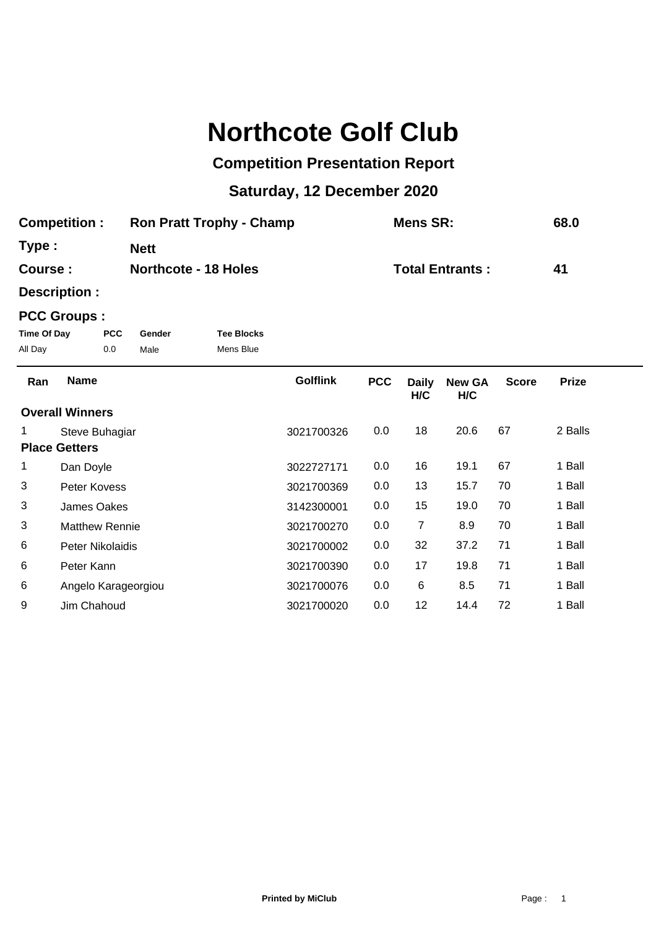## **Northcote Golf Club**

## **Competition Presentation Report**

## **Saturday, 12 December 2020**

| <b>Competition:</b> | <b>Ron Pratt Trophy - Champ</b> | Mens SR:               | 68.0 |
|---------------------|---------------------------------|------------------------|------|
| Type:               | <b>Nett</b>                     |                        |      |
| Course :            | <b>Northcote - 18 Holes</b>     | <b>Total Entrants:</b> | 41   |

**Description :**

## **PCC Groups :**

| Time Of Day | <b>PCC</b> | Gender | <b>Tee Blocks</b> |
|-------------|------------|--------|-------------------|
| All Day     | 0.0        | Male   | Mens Blue         |

| Ran | <b>Name</b>            | <b>Golflink</b> | <b>PCC</b> | <b>Daily</b><br>H/C | <b>New GA</b><br>H/C | <b>Score</b> | <b>Prize</b> |
|-----|------------------------|-----------------|------------|---------------------|----------------------|--------------|--------------|
|     | <b>Overall Winners</b> |                 |            |                     |                      |              |              |
|     | Steve Buhagiar         | 3021700326      | 0.0        | 18                  | 20.6                 | 67           | 2 Balls      |
|     | <b>Place Getters</b>   |                 |            |                     |                      |              |              |
| 1   | Dan Doyle              | 3022727171      | 0.0        | 16                  | 19.1                 | 67           | 1 Ball       |
| 3   | Peter Kovess           | 3021700369      | 0.0        | 13                  | 15.7                 | 70           | 1 Ball       |
| 3   | James Oakes            | 3142300001      | 0.0        | 15                  | 19.0                 | 70           | 1 Ball       |
| 3   | <b>Matthew Rennie</b>  | 3021700270      | 0.0        | 7                   | 8.9                  | 70           | 1 Ball       |
| 6   | Peter Nikolaidis       | 3021700002      | 0.0        | 32                  | 37.2                 | 71           | 1 Ball       |
| 6   | Peter Kann             | 3021700390      | 0.0        | 17                  | 19.8                 | 71           | 1 Ball       |
| 6   | Angelo Karageorgiou    | 3021700076      | 0.0        | 6                   | 8.5                  | 71           | 1 Ball       |
| 9   | Jim Chahoud            | 3021700020      | 0.0        | 12                  | 14.4                 | 72           | 1 Ball       |